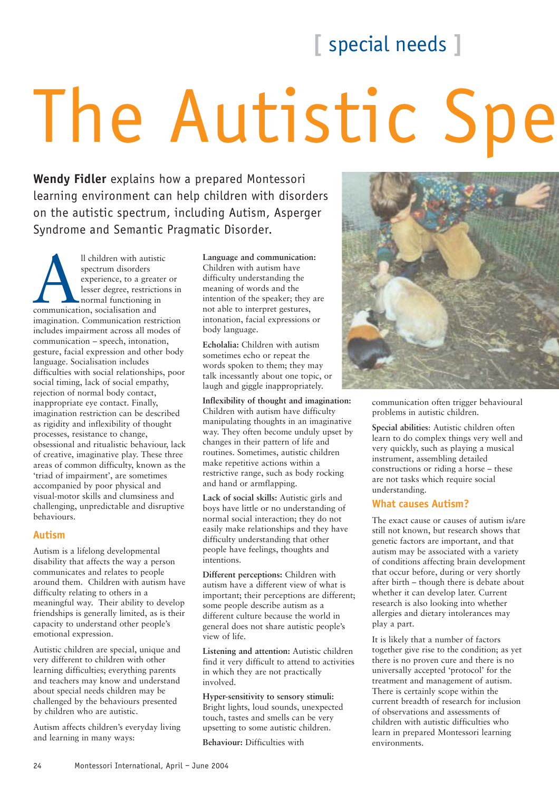### **[** special needs **]**

# The Autistic Spe

**Wendy Fidler** explains how a prepared Montessori learning environment can help children with disorders on the autistic spectrum, including Autism, Asperger Syndrome and Semantic Pragmatic Disorder.

Il children with autistic<br>spectrum disorders<br>experience, to a greater<br>lesser degree, restriction<br>normal functioning in<br>communication, socialisation and spectrum disorders experience, to a greater or lesser degree, restrictions in normal functioning in imagination. Communication restriction includes impairment across all modes of communication – speech, intonation, gesture, facial expression and other body language. Socialisation includes difficulties with social relationships, poor social timing, lack of social empathy, rejection of normal body contact, inappropriate eye contact. Finally, imagination restriction can be described as rigidity and inflexibility of thought processes, resistance to change, obsessional and ritualistic behaviour, lack of creative, imaginative play. These three areas of common difficulty, known as the 'triad of impairment', are sometimes accompanied by poor physical and visual-motor skills and clumsiness and challenging, unpredictable and disruptive behaviours.

#### **Autism**

Autism is a lifelong developmental disability that affects the way a person communicates and relates to people around them. Children with autism have difficulty relating to others in a meaningful way. Their ability to develop friendships is generally limited, as is their capacity to understand other people's emotional expression.

Autistic children are special, unique and very different to children with other learning difficulties; everything parents and teachers may know and understand about special needs children may be challenged by the behaviours presented by children who are autistic.

Autism affects children's everyday living and learning in many ways:

**Language and communication:** Children with autism have difficulty understanding the meaning of words and the intention of the speaker; they are not able to interpret gestures, intonation, facial expressions or body language.

**Echolalia:** Children with autism sometimes echo or repeat the words spoken to them; they may talk incessantly about one topic, or laugh and giggle inappropriately.

**Inflexibility of thought and imagination:** Children with autism have difficulty manipulating thoughts in an imaginative way. They often become unduly upset by changes in their pattern of life and routines. Sometimes, autistic children make repetitive actions within a restrictive range, such as body rocking and hand or armflapping.

**Lack of social skills:** Autistic girls and boys have little or no understanding of normal social interaction; they do not easily make relationships and they have difficulty understanding that other people have feelings, thoughts and intentions.

**Different perceptions:** Children with autism have a different view of what is important; their perceptions are different; some people describe autism as a different culture because the world in general does not share autistic people's view of life.

**Listening and attention:** Autistic children find it very difficult to attend to activities in which they are not practically involved.

#### **Hyper-sensitivity to sensory stimuli:**

Bright lights, loud sounds, unexpected touch, tastes and smells can be very upsetting to some autistic children.

**Behaviour:** Difficulties with



communication often trigger behavioural problems in autistic children.

**Special abilities**: Autistic children often learn to do complex things very well and very quickly, such as playing a musical instrument, assembling detailed constructions or riding a horse – these are not tasks which require social understanding.

#### **What causes Autism?**

The exact cause or causes of autism is/are still not known, but research shows that genetic factors are important, and that autism may be associated with a variety of conditions affecting brain development that occur before, during or very shortly after birth – though there is debate about whether it can develop later. Current research is also looking into whether allergies and dietary intolerances may play a part.

It is likely that a number of factors together give rise to the condition; as yet there is no proven cure and there is no universally accepted 'protocol' for the treatment and management of autism. There is certainly scope within the current breadth of research for inclusion of observations and assessments of children with autistic difficulties who learn in prepared Montessori learning environments.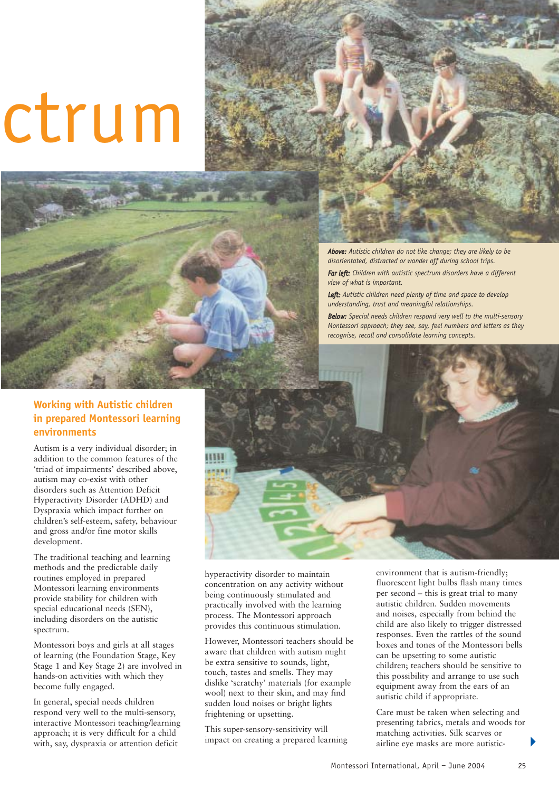## ctrum



*Above: Autistic children do not like change; they are likely to be disorientated, distracted or wander off during school trips.*

*Far left: Children with autistic spectrum disorders have a different view of what is important.*

*Left: Autistic children need plenty of time and space to develop understanding, trust and meaningful relationships.*

*Below: Special needs children respond very well to the multi-sensory Montessori approach; they see, say, feel numbers and letters as they recognise, recall and consolidate learning concepts.*

#### **Working with Autistic children in prepared Montessori learning environments**

Autism is a very individual disorder; in addition to the common features of the 'triad of impairments' described above, autism may co-exist with other disorders such as Attention Deficit Hyperactivity Disorder (ADHD) and Dyspraxia which impact further on children's self-esteem, safety, behaviour and gross and/or fine motor skills development.

The traditional teaching and learning methods and the predictable daily routines employed in prepared Montessori learning environments provide stability for children with special educational needs (SEN), including disorders on the autistic spectrum.

Montessori boys and girls at all stages of learning (the Foundation Stage, Key Stage 1 and Key Stage 2) are involved in hands-on activities with which they become fully engaged.

In general, special needs children respond very well to the multi-sensory, interactive Montessori teaching/learning approach; it is very difficult for a child with, say, dyspraxia or attention deficit



hyperactivity disorder to maintain concentration on any activity without being continuously stimulated and practically involved with the learning process. The Montessori approach provides this continuous stimulation.

However, Montessori teachers should be aware that children with autism might be extra sensitive to sounds, light, touch, tastes and smells. They may dislike 'scratchy' materials (for example wool) next to their skin, and may find sudden loud noises or bright lights frightening or upsetting.

This super-sensory-sensitivity will impact on creating a prepared learning environment that is autism-friendly; fluorescent light bulbs flash many times per second – this is great trial to many autistic children. Sudden movements and noises, especially from behind the child are also likely to trigger distressed responses. Even the rattles of the sound boxes and tones of the Montessori bells can be upsetting to some autistic children; teachers should be sensitive to this possibility and arrange to use such equipment away from the ears of an autistic child if appropriate.

Care must be taken when selecting and presenting fabrics, metals and woods for matching activities. Silk scarves or airline eye masks are more autistic-

 $\blacktriangleright$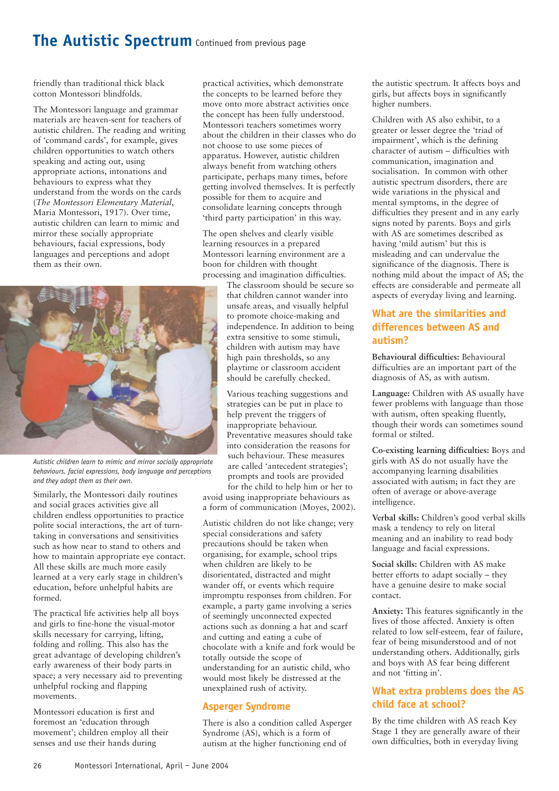#### **The Autistic Spectrum** Continued from previous page

friendly than traditional thick black cotton Montessori blindfolds.

The Montessori language and grammar materials are heaven-sent for teachers of autistic children. The reading and writing of 'command cards', for example, gives children opportunities to watch others speaking and acting out, using appropriate actions, intonations and behaviours to express what they understand from the words on the cards (*The Montessori Elementary Material*, Maria Montessori, 1917). Over time, autistic children can learn to mimic and mirror these socially appropriate behaviours, facial expressions, body languages and perceptions and adopt them as their own.



*Autistic children learn to mimic and mirror socially appropriate behaviours, facial expressions, body language and perceptions and they adopt them as their own.*

Similarly, the Montessori daily routines and social graces activities give all children endless opportunities to practice polite social interactions, the art of turntaking in conversations and sensitivities such as how near to stand to others and how to maintain appropriate eye contact. All these skills are much more easily learned at a very early stage in children's education, before unhelpful habits are formed.

The practical life activities help all boys and girls to fine-hone the visual-motor skills necessary for carrying, lifting, folding and rolling. This also has the great advantage of developing children's early awareness of their body parts in space; a very necessary aid to preventing unhelpful rocking and flapping movements.

Montessori education is first and foremost an 'education through movement'; children employ all their senses and use their hands during

practical activities, which demonstrate the concepts to be learned before they move onto more abstract activities once the concept has been fully understood. Montessori teachers sometimes worry about the children in their classes who do not choose to use some pieces of apparatus. However, autistic children always benefit from watching others participate, perhaps many times, before getting involved themselves. It is perfectly possible for them to acquire and consolidate learning concepts through 'third party participation' in this way.

The open shelves and clearly visible learning resources in a prepared Montessori learning environment are a boon for children with thought processing and imagination difficulties.

> The classroom should be secure so that children cannot wander into unsafe areas, and visually helpful to promote choice-making and independence. In addition to being extra sensitive to some stimuli, children with autism may have high pain thresholds, so any playtime or classroom accident should be carefully checked.

Various teaching suggestions and strategies can be put in place to help prevent the triggers of inappropriate behaviour. Preventative measures should take into consideration the reasons for such behaviour. These measures are called 'antecedent strategies'; prompts and tools are provided

for the child to help him or her to avoid using inappropriate behaviours as a form of communication (Moyes, 2002).

Autistic children do not like change; very special considerations and safety precautions should be taken when organising, for example, school trips when children are likely to be disorientated, distracted and might wander off, or events which require impromptu responses from children. For example, a party game involving a series of seemingly unconnected expected actions such as donning a hat and scarf and cutting and eating a cube of chocolate with a knife and fork would be totally outside the scope of understanding for an autistic child, who would most likely be distressed at the unexplained rush of activity.

#### **Asperger Syndrome**

There is also a condition called Asperger Syndrome (AS), which is a form of autism at the higher functioning end of

the autistic spectrum. It affects boys and girls, but affects boys in significantly higher numbers.

Children with AS also exhibit, to a greater or lesser degree the 'triad of impairment', which is the defining character of autism – difficulties with communication, imagination and socialisation. In common with other autistic spectrum disorders, there are wide variations in the physical and mental symptoms, in the degree of difficulties they present and in any early signs noted by parents. Boys and girls with AS are sometimes described as having 'mild autism' but this is misleading and can undervalue the significance of the diagnosis. There is nothing mild about the impact of AS; the effects are considerable and permeate all aspects of everyday living and learning.

#### **What are the similarities and differences between AS and autism?**

**Behavioural difficulties:** Behavioural difficulties are an important part of the diagnosis of AS, as with autism.

**Language:** Children with AS usually have fewer problems with language than those with autism, often speaking fluently, though their words can sometimes sound formal or stilted.

**Co-existing learning difficulties:** Boys and girls with AS do not usually have the accompanying learning disabilities associated with autism; in fact they are often of average or above-average intelligence.

**Verbal skills:** Children's good verbal skills mask a tendency to rely on literal meaning and an inability to read body language and facial expressions.

**Social skills:** Children with AS make better efforts to adapt socially – they have a genuine desire to make social contact.

**Anxiety:** This features significantly in the lives of those affected. Anxiety is often related to low self-esteem, fear of failure, fear of being misunderstood and of not understanding others. Additionally, girls and boys with AS fear being different and not 'fitting in'.

#### **What extra problems does the AS child face at school?**

By the time children with AS reach Key Stage 1 they are generally aware of their own difficulties, both in everyday living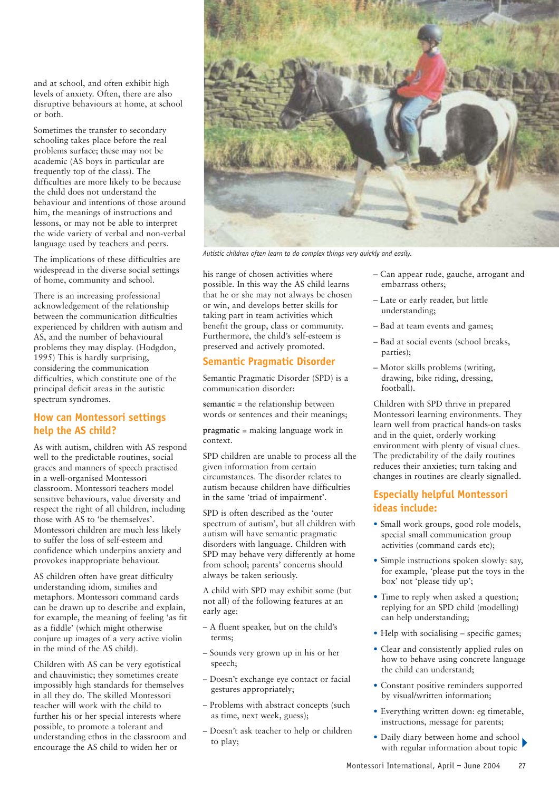and at school, and often exhibit high levels of anxiety. Often, there are also disruptive behaviours at home, at school or both.

Sometimes the transfer to secondary schooling takes place before the real problems surface; these may not be academic (AS boys in particular are frequently top of the class). The difficulties are more likely to be because the child does not understand the behaviour and intentions of those around him, the meanings of instructions and lessons, or may not be able to interpret the wide variety of verbal and non-verbal language used by teachers and peers.

The implications of these difficulties are widespread in the diverse social settings of home, community and school.

There is an increasing professional acknowledgement of the relationship between the communication difficulties experienced by children with autism and AS, and the number of behavioural problems they may display. (Hodgdon, 1995) This is hardly surprising, considering the communication difficulties, which constitute one of the principal deficit areas in the autistic spectrum syndromes.

#### **How can Montessori settings help the AS child?**

As with autism, children with AS respond well to the predictable routines, social graces and manners of speech practised in a well-organised Montessori classroom. Montessori teachers model sensitive behaviours, value diversity and respect the right of all children, including those with AS to 'be themselves'. Montessori children are much less likely to suffer the loss of self-esteem and confidence which underpins anxiety and provokes inappropriate behaviour.

AS children often have great difficulty understanding idiom, similies and metaphors. Montessori command cards can be drawn up to describe and explain, for example, the meaning of feeling 'as fit as a fiddle' (which might otherwise conjure up images of a very active violin in the mind of the AS child).

Children with AS can be very egotistical and chauvinistic; they sometimes create impossibly high standards for themselves in all they do. The skilled Montessori teacher will work with the child to further his or her special interests where possible, to promote a tolerant and understanding ethos in the classroom and encourage the AS child to widen her or



*Autistic children often learn to do complex things very quickly and easily.*

his range of chosen activities where possible. In this way the AS child learns that he or she may not always be chosen or win, and develops better skills for taking part in team activities which benefit the group, class or community. Furthermore, the child's self-esteem is preserved and actively promoted.

#### **Semantic Pragmatic Disorder**

Semantic Pragmatic Disorder (SPD) is a communication disorder:

**semantic** = the relationship between words or sentences and their meanings;

**pragmatic** = making language work in context.

SPD children are unable to process all the given information from certain circumstances. The disorder relates to autism because children have difficulties in the same 'triad of impairment'.

SPD is often described as the 'outer spectrum of autism', but all children with autism will have semantic pragmatic disorders with language. Children with SPD may behave very differently at home from school; parents' concerns should always be taken seriously.

A child with SPD may exhibit some (but not all) of the following features at an early age:

- A fluent speaker, but on the child's terms;
- Sounds very grown up in his or her speech;
- Doesn't exchange eye contact or facial gestures appropriately;
- Problems with abstract concepts (such as time, next week, guess);
- Doesn't ask teacher to help or children to play;
- Can appear rude, gauche, arrogant and embarrass others;
- Late or early reader, but little understanding;
- Bad at team events and games;
- Bad at social events (school breaks, parties);
- Motor skills problems (writing, drawing, bike riding, dressing, football).

Children with SPD thrive in prepared Montessori learning environments. They learn well from practical hands-on tasks and in the quiet, orderly working environment with plenty of visual clues. The predictability of the daily routines reduces their anxieties; turn taking and changes in routines are clearly signalled.

#### **Especially helpful Montessori ideas include:**

- Small work groups, good role models, special small communication group activities (command cards etc);
- Simple instructions spoken slowly: say, for example, 'please put the toys in the box' not 'please tidy up';
- Time to reply when asked a question; replying for an SPD child (modelling) can help understanding;
- Help with socialising specific games:
- Clear and consistently applied rules on how to behave using concrete language the child can understand;
- Constant positive reminders supported by visual/written information;
- Everything written down: eg timetable, instructions, message for parents;
- Daily diary between home and school with regular information about topic  $\blacktriangleright$